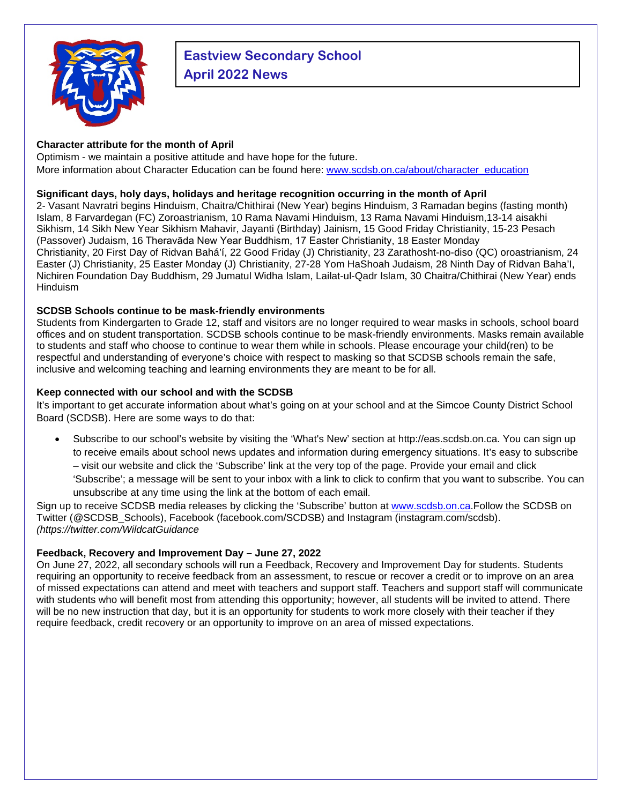

# **Eastview Secondary School April 2022 News**

## **Character attribute for the month of April**

Optimism - we maintain a positive attitude and have hope for the future. More information about Character Education can be found here: [www.scdsb.on.ca/about/character\\_education](http://www.scdsb.on.ca/about/character_education)

### **Significant days, holy days, holidays and heritage recognition occurring in the month of April**

2- Vasant Navratri begins Hinduism, Chaitra/Chithirai (New Year) begins Hinduism, 3 Ramadan begins (fasting month) Islam, 8 Farvardegan (FC) Zoroastrianism, 10 Rama Navami Hinduism, 13 Rama Navami Hinduism,13-14 aisakhi Sikhism, 14 Sikh New Year Sikhism Mahavir, Jayanti (Birthday) Jainism, 15 Good Friday Christianity, 15-23 Pesach (Passover) Judaism, 16 Theravāda New Year Buddhism, 17 Easter Christianity, 18 Easter Monday Christianity, 20 First Day of Ridvan Bahá'í, 22 Good Friday (J) Christianity, 23 Zarathosht-no-diso (QC) oroastrianism, 24 Easter (J) Christianity, 25 Easter Monday (J) Christianity, 27-28 Yom HaShoah Judaism, 28 Ninth Day of Ridvan Baha'I, Nichiren Foundation Day Buddhism, 29 Jumatul Widha Islam, Lailat-ul-Qadr Islam, 30 Chaitra/Chithirai (New Year) ends Hinduism

## **SCDSB Schools continue to be mask-friendly environments**

Students from Kindergarten to Grade 12, staff and visitors are no longer required to wear masks in schools, school board offices and on student transportation. SCDSB schools continue to be mask-friendly environments. Masks remain available to students and staff who choose to continue to wear them while in schools. Please encourage your child(ren) to be respectful and understanding of everyone's choice with respect to masking so that SCDSB schools remain the safe, inclusive and welcoming teaching and learning environments they are meant to be for all.

## **Keep connected with our school and with the SCDSB**

It's important to get accurate information about what's going on at your school and at the Simcoe County District School Board (SCDSB). Here are some ways to do that:

• Subscribe to our school's website by visiting the 'What's New' section at http://eas.scdsb.on.ca. You can sign up to receive emails about school news updates and information during emergency situations. It's easy to subscribe – visit our website and click the 'Subscribe' link at the very top of the page. Provide your email and click 'Subscribe'; a message will be sent to your inbox with a link to click to confirm that you want to subscribe. You can unsubscribe at any time using the link at the bottom of each email.

Sign up to receive SCDSB media releases by clicking the 'Subscribe' button at [www.scdsb.on.ca.](http://www.scdsb.on.ca/)Follow the SCDSB on Twitter (@SCDSB\_Schools), Facebook (facebook.com/SCDSB) and Instagram (instagram.com/scdsb). *(https://twitter.com/WildcatGuidance*

## **Feedback, Recovery and Improvement Day – June 27, 2022**

On June 27, 2022, all secondary schools will run a Feedback, Recovery and Improvement Day for students. Students requiring an opportunity to receive feedback from an assessment, to rescue or recover a credit or to improve on an area of missed expectations can attend and meet with teachers and support staff. Teachers and support staff will communicate with students who will benefit most from attending this opportunity; however, all students will be invited to attend. There will be no new instruction that day, but it is an opportunity for students to work more closely with their teacher if they require feedback, credit recovery or an opportunity to improve on an area of missed expectations.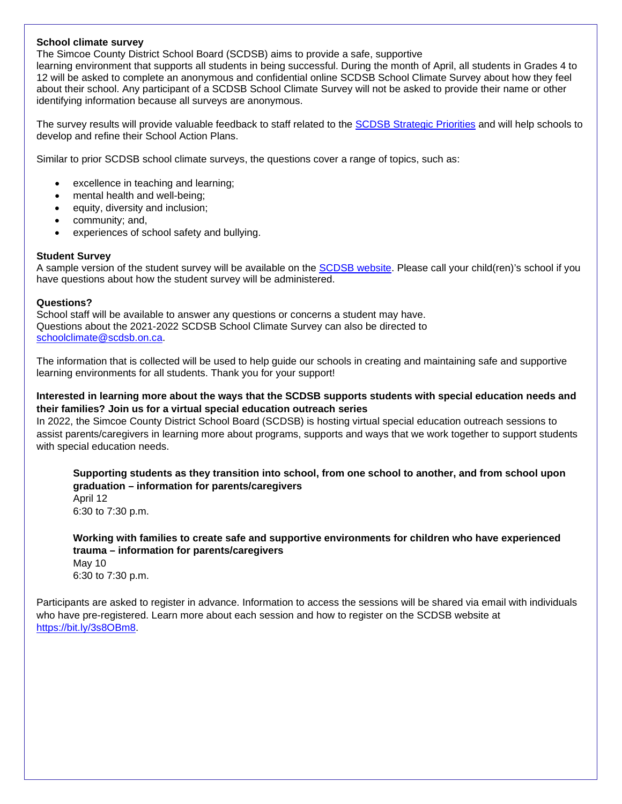#### **School climate survey**

The Simcoe County District School Board (SCDSB) aims to provide a safe, supportive

learning environment that supports all students in being successful. During the month of April, all students in Grades 4 to 12 will be asked to complete an anonymous and confidential online SCDSB School Climate Survey about how they feel about their school. Any participant of a SCDSB School Climate Survey will not be asked to provide their name or other identifying information because all surveys are anonymous.

The survey results will provide valuable feedback to staff related to the [SCDSB Strategic Priorities](https://www.scdsb.on.ca/about/goals_reporting/strategic_priorities) and will help schools to develop and refine their School Action Plans.

Similar to prior SCDSB school climate surveys, the questions cover a range of topics, such as:

- excellence in teaching and learning;
- mental health and well-being;
- equity, diversity and inclusion;
- community; and,
- experiences of school safety and bullying.

#### **Student Survey**

A sample version of the student survey will be available on the [SCDSB website.](http://www.scdsb.on.ca/) Please call your child(ren)'s school if you have questions about how the student survey will be administered.

#### **Questions?**

School staff will be available to answer any questions or concerns a student may have. Questions about the 2021-2022 SCDSB School Climate Survey can also be directed to [schoolclimate@scdsb.on.ca.](mailto:schoolclimate@scdsb.on.ca)

The information that is collected will be used to help guide our schools in creating and maintaining safe and supportive learning environments for all students. Thank you for your support!

#### **Interested in learning more about the ways that the SCDSB supports students with special education needs and their families? Join us for a virtual special education outreach series**

In 2022, the Simcoe County District School Board (SCDSB) is hosting virtual special education outreach sessions to assist parents/caregivers in learning more about programs, supports and ways that we work together to support students with special education needs.

**Supporting students as they transition into school, from one school to another, and from school upon graduation – information for parents/caregivers** 

April 12 6:30 to 7:30 p.m.

**Working with families to create safe and supportive environments for children who have experienced trauma – information for parents/caregivers**  May 10 6:30 to 7:30 p.m.

Participants are asked to register in advance. Information to access the sessions will be shared via email with individuals who have pre-registered. Learn more about each session and how to register on the SCDSB website at [https://bit.ly/3s8OBm8.](https://bit.ly/3s8OBm8)